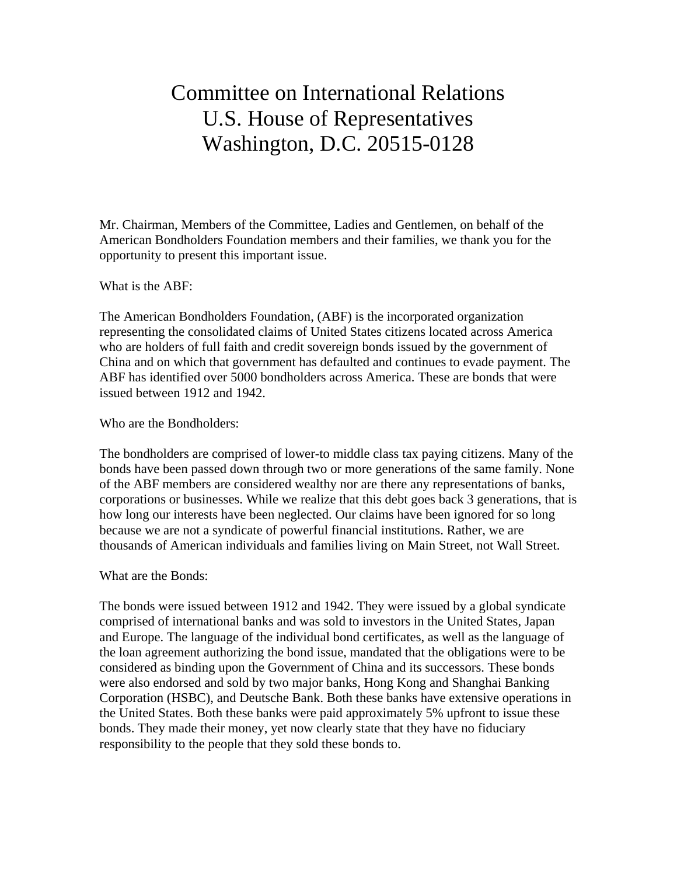## Committee on International Relations U.S. House of Representatives Washington, D.C. 20515-0128

Mr. Chairman, Members of the Committee, Ladies and Gentlemen, on behalf of the American Bondholders Foundation members and their families, we thank you for the opportunity to present this important issue.

What is the ABF:

The American Bondholders Foundation, (ABF) is the incorporated organization representing the consolidated claims of United States citizens located across America who are holders of full faith and credit sovereign bonds issued by the government of China and on which that government has defaulted and continues to evade payment. The ABF has identified over 5000 bondholders across America. These are bonds that were issued between 1912 and 1942.

Who are the Bondholders:

The bondholders are comprised of lower-to middle class tax paying citizens. Many of the bonds have been passed down through two or more generations of the same family. None of the ABF members are considered wealthy nor are there any representations of banks, corporations or businesses. While we realize that this debt goes back 3 generations, that is how long our interests have been neglected. Our claims have been ignored for so long because we are not a syndicate of powerful financial institutions. Rather, we are thousands of American individuals and families living on Main Street, not Wall Street.

What are the Bonds:

The bonds were issued between 1912 and 1942. They were issued by a global syndicate comprised of international banks and was sold to investors in the United States, Japan and Europe. The language of the individual bond certificates, as well as the language of the loan agreement authorizing the bond issue, mandated that the obligations were to be considered as binding upon the Government of China and its successors. These bonds were also endorsed and sold by two major banks, Hong Kong and Shanghai Banking Corporation (HSBC), and Deutsche Bank. Both these banks have extensive operations in the United States. Both these banks were paid approximately 5% upfront to issue these bonds. They made their money, yet now clearly state that they have no fiduciary responsibility to the people that they sold these bonds to.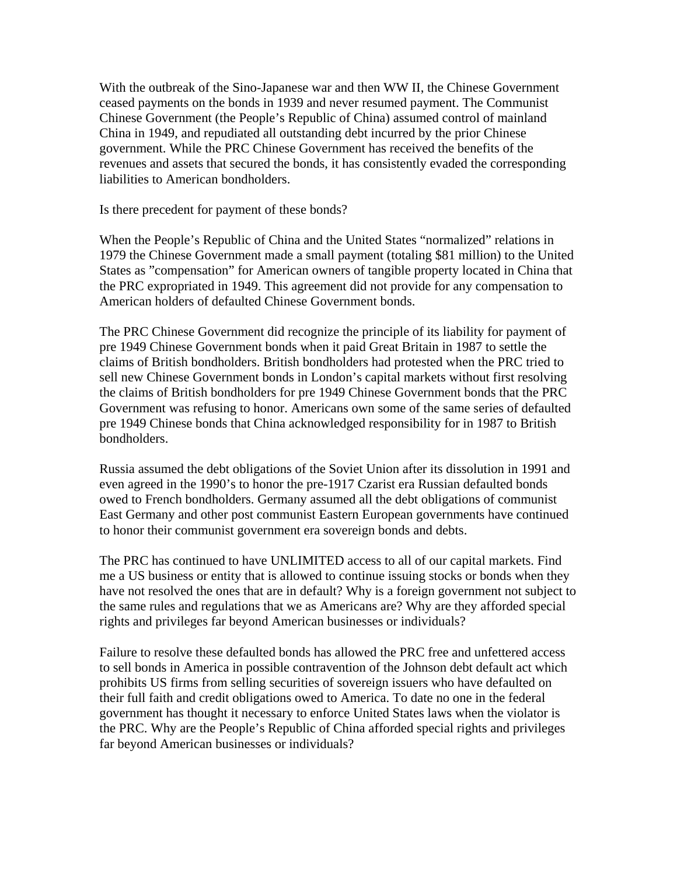With the outbreak of the Sino-Japanese war and then WW II, the Chinese Government ceased payments on the bonds in 1939 and never resumed payment. The Communist Chinese Government (the People's Republic of China) assumed control of mainland China in 1949, and repudiated all outstanding debt incurred by the prior Chinese government. While the PRC Chinese Government has received the benefits of the revenues and assets that secured the bonds, it has consistently evaded the corresponding liabilities to American bondholders.

Is there precedent for payment of these bonds?

When the People's Republic of China and the United States "normalized" relations in 1979 the Chinese Government made a small payment (totaling \$81 million) to the United States as "compensation" for American owners of tangible property located in China that the PRC expropriated in 1949. This agreement did not provide for any compensation to American holders of defaulted Chinese Government bonds.

The PRC Chinese Government did recognize the principle of its liability for payment of pre 1949 Chinese Government bonds when it paid Great Britain in 1987 to settle the claims of British bondholders. British bondholders had protested when the PRC tried to sell new Chinese Government bonds in London's capital markets without first resolving the claims of British bondholders for pre 1949 Chinese Government bonds that the PRC Government was refusing to honor. Americans own some of the same series of defaulted pre 1949 Chinese bonds that China acknowledged responsibility for in 1987 to British bondholders.

Russia assumed the debt obligations of the Soviet Union after its dissolution in 1991 and even agreed in the 1990's to honor the pre-1917 Czarist era Russian defaulted bonds owed to French bondholders. Germany assumed all the debt obligations of communist East Germany and other post communist Eastern European governments have continued to honor their communist government era sovereign bonds and debts.

The PRC has continued to have UNLIMITED access to all of our capital markets. Find me a US business or entity that is allowed to continue issuing stocks or bonds when they have not resolved the ones that are in default? Why is a foreign government not subject to the same rules and regulations that we as Americans are? Why are they afforded special rights and privileges far beyond American businesses or individuals?

Failure to resolve these defaulted bonds has allowed the PRC free and unfettered access to sell bonds in America in possible contravention of the Johnson debt default act which prohibits US firms from selling securities of sovereign issuers who have defaulted on their full faith and credit obligations owed to America. To date no one in the federal government has thought it necessary to enforce United States laws when the violator is the PRC. Why are the People's Republic of China afforded special rights and privileges far beyond American businesses or individuals?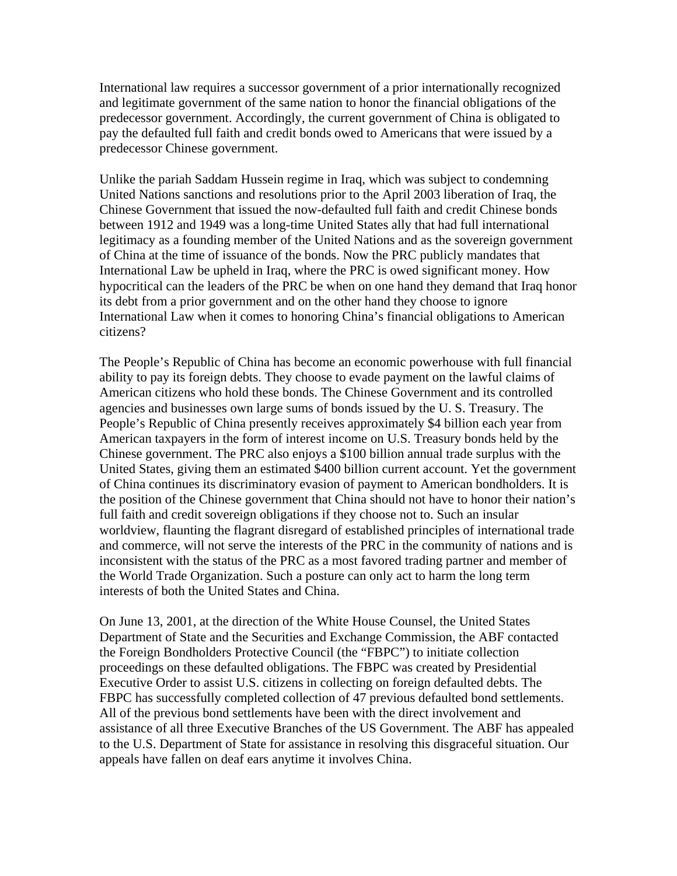International law requires a successor government of a prior internationally recognized and legitimate government of the same nation to honor the financial obligations of the predecessor government. Accordingly, the current government of China is obligated to pay the defaulted full faith and credit bonds owed to Americans that were issued by a predecessor Chinese government.

Unlike the pariah Saddam Hussein regime in Iraq, which was subject to condemning United Nations sanctions and resolutions prior to the April 2003 liberation of Iraq, the Chinese Government that issued the now-defaulted full faith and credit Chinese bonds between 1912 and 1949 was a long-time United States ally that had full international legitimacy as a founding member of the United Nations and as the sovereign government of China at the time of issuance of the bonds. Now the PRC publicly mandates that International Law be upheld in Iraq, where the PRC is owed significant money. How hypocritical can the leaders of the PRC be when on one hand they demand that Iraq honor its debt from a prior government and on the other hand they choose to ignore International Law when it comes to honoring China's financial obligations to American citizens?

The People's Republic of China has become an economic powerhouse with full financial ability to pay its foreign debts. They choose to evade payment on the lawful claims of American citizens who hold these bonds. The Chinese Government and its controlled agencies and businesses own large sums of bonds issued by the U. S. Treasury. The People's Republic of China presently receives approximately \$4 billion each year from American taxpayers in the form of interest income on U.S. Treasury bonds held by the Chinese government. The PRC also enjoys a \$100 billion annual trade surplus with the United States, giving them an estimated \$400 billion current account. Yet the government of China continues its discriminatory evasion of payment to American bondholders. It is the position of the Chinese government that China should not have to honor their nation's full faith and credit sovereign obligations if they choose not to. Such an insular worldview, flaunting the flagrant disregard of established principles of international trade and commerce, will not serve the interests of the PRC in the community of nations and is inconsistent with the status of the PRC as a most favored trading partner and member of the World Trade Organization. Such a posture can only act to harm the long term interests of both the United States and China.

On June 13, 2001, at the direction of the White House Counsel, the United States Department of State and the Securities and Exchange Commission, the ABF contacted the Foreign Bondholders Protective Council (the "FBPC") to initiate collection proceedings on these defaulted obligations. The FBPC was created by Presidential Executive Order to assist U.S. citizens in collecting on foreign defaulted debts. The FBPC has successfully completed collection of 47 previous defaulted bond settlements. All of the previous bond settlements have been with the direct involvement and assistance of all three Executive Branches of the US Government. The ABF has appealed to the U.S. Department of State for assistance in resolving this disgraceful situation. Our appeals have fallen on deaf ears anytime it involves China.